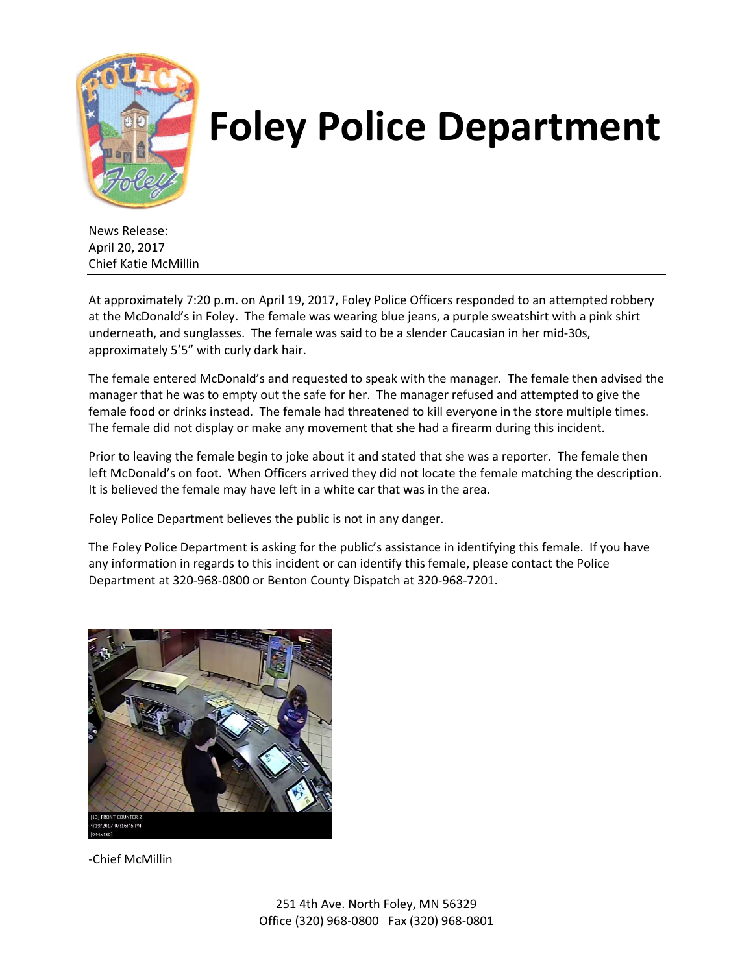

## **Foley Police Department**

News Release: April 20, 2017 Chief Katie McMillin

At approximately 7:20 p.m. on April 19, 2017, Foley Police Officers responded to an attempted robbery at the McDonald's in Foley. The female was wearing blue jeans, a purple sweatshirt with a pink shirt underneath, and sunglasses. The female was said to be a slender Caucasian in her mid-30s, approximately 5'5" with curly dark hair.

The female entered McDonald's and requested to speak with the manager. The female then advised the manager that he was to empty out the safe for her. The manager refused and attempted to give the female food or drinks instead. The female had threatened to kill everyone in the store multiple times. The female did not display or make any movement that she had a firearm during this incident.

Prior to leaving the female begin to joke about it and stated that she was a reporter. The female then left McDonald's on foot. When Officers arrived they did not locate the female matching the description. It is believed the female may have left in a white car that was in the area.

Foley Police Department believes the public is not in any danger.

The Foley Police Department is asking for the public's assistance in identifying this female. If you have any information in regards to this incident or can identify this female, please contact the Police Department at 320-968-0800 or Benton County Dispatch at 320-968-7201.



-Chief McMillin